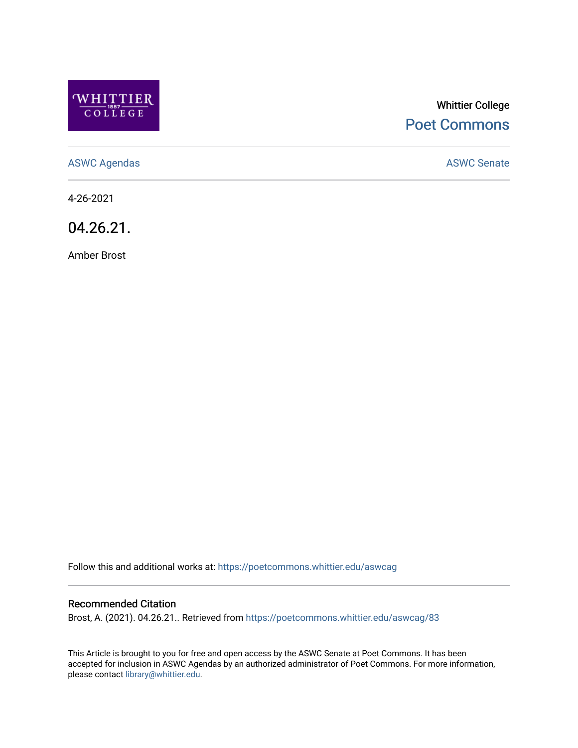

# Whittier College [Poet Commons](https://poetcommons.whittier.edu/)

[ASWC Agendas](https://poetcommons.whittier.edu/aswcag) **ASWC Senate** 

4-26-2021

04.26.21.

Amber Brost

Follow this and additional works at: [https://poetcommons.whittier.edu/aswcag](https://poetcommons.whittier.edu/aswcag?utm_source=poetcommons.whittier.edu%2Faswcag%2F83&utm_medium=PDF&utm_campaign=PDFCoverPages) 

## Recommended Citation

Brost, A. (2021). 04.26.21.. Retrieved from [https://poetcommons.whittier.edu/aswcag/83](https://poetcommons.whittier.edu/aswcag/83?utm_source=poetcommons.whittier.edu%2Faswcag%2F83&utm_medium=PDF&utm_campaign=PDFCoverPages) 

This Article is brought to you for free and open access by the ASWC Senate at Poet Commons. It has been accepted for inclusion in ASWC Agendas by an authorized administrator of Poet Commons. For more information, please contact [library@whittier.edu](mailto:library@whittier.edu).